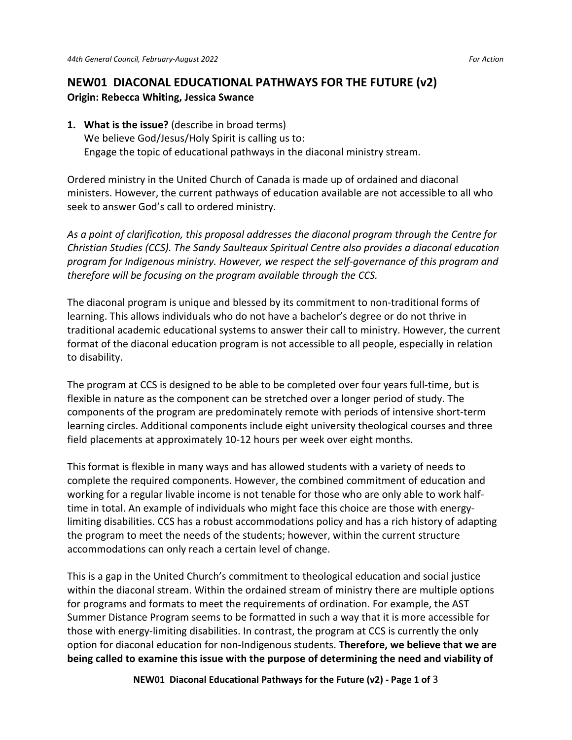## **NEW01 DIACONAL EDUCATIONAL PATHWAYS FOR THE FUTURE (v2) Origin: Rebecca Whiting, Jessica Swance**

**1. What is the issue?** (describe in broad terms) We believe God/Jesus/Holy Spirit is calling us to: Engage the topic of educational pathways in the diaconal ministry stream.

Ordered ministry in the United Church of Canada is made up of ordained and diaconal ministers. However, the current pathways of education available are not accessible to all who seek to answer God's call to ordered ministry.

*As a point of clarification, this proposal addresses the diaconal program through the Centre for Christian Studies (CCS). The [Sandy Saulteaux Spiritual Centre](http://sandysaulteaux.ca/) also provides a diaconal education program for Indigenous ministry. However, we respect the self-governance of this program and therefore will be focusing on the program available through the CCS.* 

The diaconal program is unique and blessed by its commitment to non-traditional forms of learning. This allows individuals who do not have a bachelor's degree or do not thrive in traditional academic educational systems to answer their call to ministry. However, the current format of the diaconal education program is not accessible to all people, especially in relation to disability.

The program at CCS is designed to be able to be completed over four years full-time, but is flexible in nature as the component can be stretched over a longer period of study. The components of the program are predominately remote with periods of intensive short-term learning circles. Additional components include eight university theological courses and three field placements at approximately 10-12 hours per week over eight months.

This format is flexible in many ways and has allowed students with a variety of needs to complete the required components. However, the combined commitment of education and working for a regular livable income is not tenable for those who are only able to work halftime in total. An example of individuals who might face this choice are those with energylimiting disabilities. CCS has a robust accommodations policy and has a rich history of adapting the program to meet the needs of the students; however, within the current structure accommodations can only reach a certain level of change.

This is a gap in the United Church's commitment to theological education and social justice within the diaconal stream. Within the ordained stream of ministry there are multiple options for programs and formats to meet the requirements of ordination. For example, the AST Summer Distance Program seems to be formatted in such a way that it is more accessible for those with energy-limiting disabilities. In contrast, the program at CCS is currently the only option for diaconal education for non-Indigenous students. **Therefore, we believe that we are being called to examine this issue with the purpose of determining the need and viability of**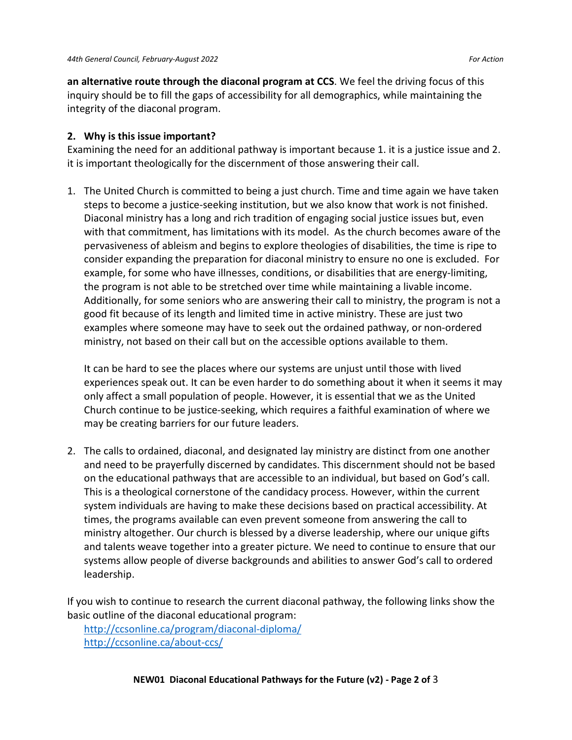**an alternative route through the diaconal program at CCS**. We feel the driving focus of this inquiry should be to fill the gaps of accessibility for all demographics, while maintaining the integrity of the diaconal program.

## **2. Why is this issue important?**

Examining the need for an additional pathway is important because 1. it is a justice issue and 2. it is important theologically for the discernment of those answering their call.

1. The United Church is committed to being a just church. Time and time again we have taken steps to become a justice-seeking institution, but we also know that work is not finished. Diaconal ministry has a long and rich tradition of engaging social justice issues but, even with that commitment, has limitations with its model. As the church becomes aware of the pervasiveness of ableism and begins to explore theologies of disabilities, the time is ripe to consider expanding the preparation for diaconal ministry to ensure no one is excluded. For example, for some who have illnesses, conditions, or disabilities that are energy-limiting, the program is not able to be stretched over time while maintaining a livable income. Additionally, for some seniors who are answering their call to ministry, the program is not a good fit because of its length and limited time in active ministry. These are just two examples where someone may have to seek out the ordained pathway, or non-ordered ministry, not based on their call but on the accessible options available to them.

It can be hard to see the places where our systems are unjust until those with lived experiences speak out. It can be even harder to do something about it when it seems it may only affect a small population of people. However, it is essential that we as the United Church continue to be justice-seeking, which requires a faithful examination of where we may be creating barriers for our future leaders.

2. The calls to ordained, diaconal, and designated lay ministry are distinct from one another and need to be prayerfully discerned by candidates. This discernment should not be based on the educational pathways that are accessible to an individual, but based on God's call. This is a theological cornerstone of the candidacy process. However, within the current system individuals are having to make these decisions based on practical accessibility. At times, the programs available can even prevent someone from answering the call to ministry altogether. Our church is blessed by a diverse leadership, where our unique gifts and talents weave together into a greater picture. We need to continue to ensure that our systems allow people of diverse backgrounds and abilities to answer God's call to ordered leadership.

If you wish to continue to research the current diaconal pathway, the following links show the basic outline of the diaconal educational program:

[http://ccsonline.ca/program/diaconal-diploma/](https://can01.safelinks.protection.outlook.com/?url=http%3A%2F%2Fccsonline.ca%2Fprogram%2Fdiaconal-diploma%2F&data=05%7C01%7Cswelch%40united-church.ca%7Cbd4369f643904b4c849f08da2d3be6ac%7Ccf18b5a826784011931215f0f7157574%7C0%7C0%7C637872032544838628%7CUnknown%7CTWFpbGZsb3d8eyJWIjoiMC4wLjAwMDAiLCJQIjoiV2luMzIiLCJBTiI6Ik1haWwiLCJXVCI6Mn0%3D%7C3000%7C%7C%7C&sdata=bbFswIS3JDWtTLB0mZ8%2Bdz9xlZivxKb%2FyaxJs3cW43I%3D&reserved=0) [http://ccsonline.ca/about-ccs/](https://can01.safelinks.protection.outlook.com/?url=http%3A%2F%2Fccsonline.ca%2Fabout-ccs%2F&data=05%7C01%7Cswelch%40united-church.ca%7Cbd4369f643904b4c849f08da2d3be6ac%7Ccf18b5a826784011931215f0f7157574%7C0%7C0%7C637872032544838628%7CUnknown%7CTWFpbGZsb3d8eyJWIjoiMC4wLjAwMDAiLCJQIjoiV2luMzIiLCJBTiI6Ik1haWwiLCJXVCI6Mn0%3D%7C3000%7C%7C%7C&sdata=GKr5879JtAvJsulWkqaYV1Er6y7PMiPLkT1j2ULhN8c%3D&reserved=0)